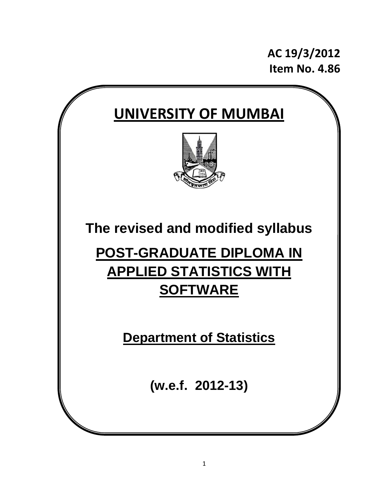**AC 19/3/2012 Item No. 4.86**

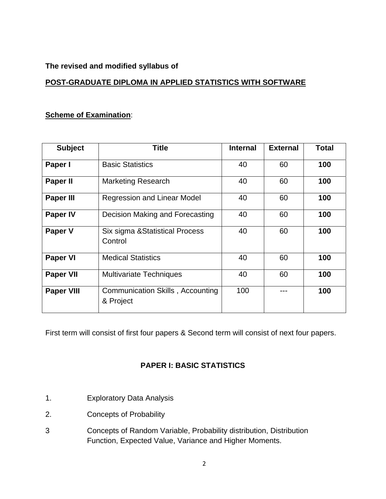### **The revised and modified syllabus of**

### **POST-GRADUATE DIPLOMA IN APPLIED STATISTICS WITH SOFTWARE**

### **Scheme of Examination**:

| <b>Subject</b>    | <b>Title</b>                                  | <b>Internal</b> | <b>External</b> | <b>Total</b> |
|-------------------|-----------------------------------------------|-----------------|-----------------|--------------|
| Paper I           | <b>Basic Statistics</b>                       | 40              | 60<br>100       |              |
| Paper II          | 40<br><b>Marketing Research</b>               |                 | 60              | 100          |
| <b>Paper III</b>  | Regression and Linear Model                   | 40              | 60              | 100          |
| <b>Paper IV</b>   | Decision Making and Forecasting               | 40              | 60              | 100          |
| Paper V           | Six sigma & Statistical Process<br>Control    | 40              | 60              | 100          |
| <b>Paper VI</b>   | <b>Medical Statistics</b>                     | 40              | 100<br>60       |              |
| <b>Paper VII</b>  | <b>Multivariate Techniques</b>                | 40              | 60              | 100          |
| <b>Paper VIII</b> | Communication Skills, Accounting<br>& Project | 100             |                 | 100          |

First term will consist of first four papers & Second term will consist of next four papers.

# **PAPER I: BASIC STATISTICS**

- 1. Exploratory Data Analysis
- 2. Concepts of Probability
- 3 Concepts of Random Variable, Probability distribution, Distribution Function, Expected Value, Variance and Higher Moments.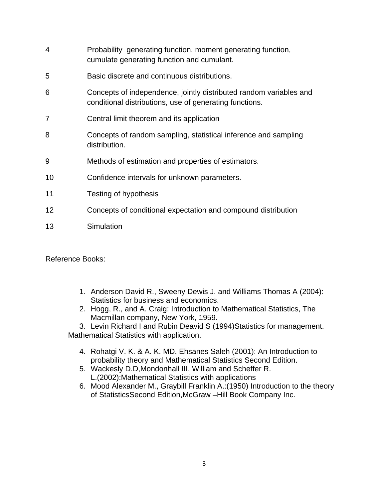| 4  | Probability generating function, moment generating function,<br>cumulate generating function and cumulant.                    |
|----|-------------------------------------------------------------------------------------------------------------------------------|
| 5  | Basic discrete and continuous distributions.                                                                                  |
| 6  | Concepts of independence, jointly distributed random variables and<br>conditional distributions, use of generating functions. |
| 7  | Central limit theorem and its application                                                                                     |
| 8  | Concepts of random sampling, statistical inference and sampling<br>distribution.                                              |
| 9  | Methods of estimation and properties of estimators.                                                                           |
| 10 | Confidence intervals for unknown parameters.                                                                                  |
| 11 | Testing of hypothesis                                                                                                         |
| 12 | Concepts of conditional expectation and compound distribution                                                                 |
| 13 | Simulation                                                                                                                    |

Reference Books:

- 1. Anderson David R., Sweeny Dewis J. and Williams Thomas A (2004): Statistics for business and economics.
- 2. Hogg, R., and A. Craig: Introduction to Mathematical Statistics, The Macmillan company, New York, 1959.

3. Levin Richard I and Rubin Deavid S (1994)Statistics for management. Mathematical Statistics with application.

- 4. Rohatgi V. K. & A. K. MD. Ehsanes Saleh (2001): An Introduction to probability theory and Mathematical Statistics Second Edition.
- 5. Wackesly D.D,Mondonhall III, William and Scheffer R. L.(2002):Mathematical Statistics with applications
- 6. Mood Alexander M., Graybill Franklin A.:(1950) Introduction to the theory of StatisticsSecond Edition,McGraw –Hill Book Company Inc.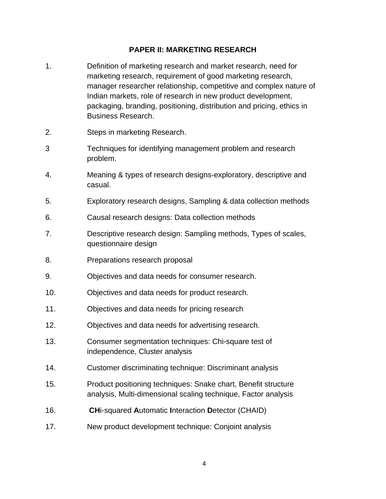### **PAPER II: MARKETING RESEARCH**

- 1. Definition of marketing research and market research, need for marketing research, requirement of good marketing research, manager researcher relationship, competitive and complex nature of Indian markets, role of research in new product development, packaging, branding, positioning, distribution and pricing, ethics in Business Research.
- 2. Steps in marketing Research.
- 3 Techniques for identifying management problem and research problem.
- 4. Meaning & types of research designs-exploratory, descriptive and casual.
- 5. Exploratory research designs, Sampling & data collection methods
- 6. Causal research designs: Data collection methods
- 7. Descriptive research design: Sampling methods, Types of scales, questionnaire design
- 8. Preparations research proposal
- 9. Objectives and data needs for consumer research.
- 10. Objectives and data needs for product research.
- 11. Objectives and data needs for pricing research
- 12. Objectives and data needs for advertising research.
- 13. Consumer segmentation techniques: Chi-square test of independence, Cluster analysis
- 14. Customer discriminating technique: Discriminant analysis
- 15. Product positioning techniques: Snake chart, Benefit structure analysis, Multi-dimensional scaling technique, Factor analysis
- 16. **CH**i-squared **A**utomatic **I**nteraction **D**etector (CHAID)
- 17. New product development technique: Conjoint analysis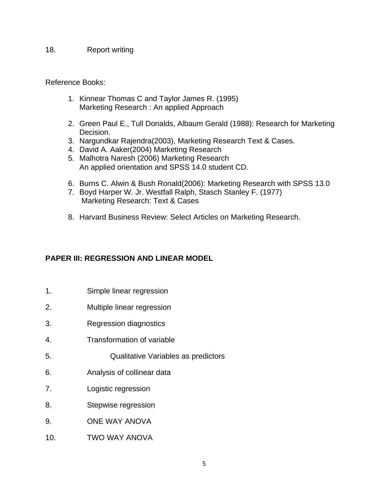#### 18. Report writing

#### Reference Books:

- 1. Kinnear Thomas C and Taylor James R. (1995) Marketing Research : An applied Approach
- 2. Green Paul E., Tull Donalds, Albaum Gerald (1988): Research for Marketing Decision.
- 3. Nargundkar Rajendra(2003), Marketing Research Text & Cases.
- 4. David A. Aaker(2004) Marketing Research
- 5. Malhotra Naresh (2006) Marketing Research An applied orientation and SPSS 14.0 student CD.
- 6. Burns C. Alwin & Bush Ronald(2006): Marketing Research with SPSS 13.0
- 7. Boyd Harper W. Jr. Westfall Ralph, Stasch Stanley F. (1977) Marketing Research: Text & Cases
- 8. Harvard Business Review: Select Articles on Marketing Research.

### **PAPER III: REGRESSION AND LINEAR MODEL**

- 1. Simple linear regression
- 2. Multiple linear regression
- 3. Regression diagnostics
- 4. Transformation of variable
- 5. Qualitative Variables as predictors
- 6. Analysis of collinear data
- 7. Logistic regression
- 8. Stepwise regression
- 9. ONE WAY ANOVA
- 10. TWO WAY ANOVA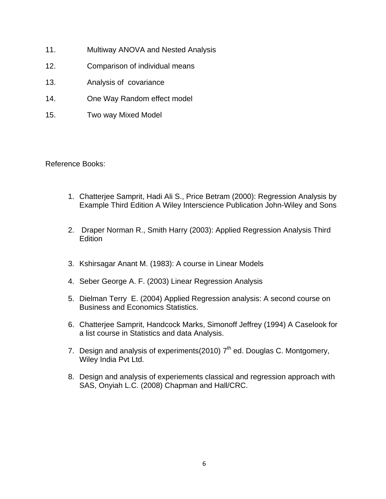- 11. Multiway ANOVA and Nested Analysis
- 12. Comparison of individual means
- 13. Analysis of covariance
- 14. One Way Random effect model
- 15. Two way Mixed Model

Reference Books:

- 1. Chatterjee Samprit, Hadi Ali S., Price Betram (2000): Regression Analysis by Example Third Edition A Wiley Interscience Publication John-Wiley and Sons
- 2. Draper Norman R., Smith Harry (2003): Applied Regression Analysis Third **Edition**
- 3. Kshirsagar Anant M. (1983): A course in Linear Models
- 4. Seber George A. F. (2003) Linear Regression Analysis
- 5. Dielman Terry E. (2004) Applied Regression analysis: A second course on Business and Economics Statistics.
- 6. Chatterjee Samprit, Handcock Marks, Simonoff Jeffrey (1994) A Caselook for a list course in Statistics and data Analysis.
- 7. Design and analysis of experiments(2010)  $7<sup>th</sup>$  ed. Douglas C. Montgomery, Wiley India Pvt Ltd.
- 8. Design and analysis of experiements classical and regression approach with SAS, Onyiah L.C. (2008) Chapman and Hall/CRC.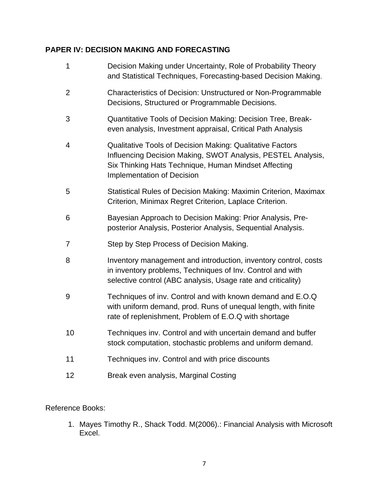# **PAPER IV: DECISION MAKING AND FORECASTING**

| 1              | Decision Making under Uncertainty, Role of Probability Theory<br>and Statistical Techniques, Forecasting-based Decision Making.                                                                                        |
|----------------|------------------------------------------------------------------------------------------------------------------------------------------------------------------------------------------------------------------------|
| $\overline{2}$ | Characteristics of Decision: Unstructured or Non-Programmable<br>Decisions, Structured or Programmable Decisions.                                                                                                      |
| 3              | Quantitative Tools of Decision Making: Decision Tree, Break-<br>even analysis, Investment appraisal, Critical Path Analysis                                                                                            |
| 4              | Qualitative Tools of Decision Making: Qualitative Factors<br>Influencing Decision Making, SWOT Analysis, PESTEL Analysis,<br>Six Thinking Hats Technique, Human Mindset Affecting<br><b>Implementation of Decision</b> |
| 5              | Statistical Rules of Decision Making: Maximin Criterion, Maximax<br>Criterion, Minimax Regret Criterion, Laplace Criterion.                                                                                            |
| 6              | Bayesian Approach to Decision Making: Prior Analysis, Pre-<br>posterior Analysis, Posterior Analysis, Sequential Analysis.                                                                                             |
| 7              | Step by Step Process of Decision Making.                                                                                                                                                                               |
| 8              | Inventory management and introduction, inventory control, costs<br>in inventory problems, Techniques of Inv. Control and with<br>selective control (ABC analysis, Usage rate and criticality)                          |
| 9              | Techniques of inv. Control and with known demand and E.O.Q<br>with uniform demand, prod. Runs of unequal length, with finite<br>rate of replenishment, Problem of E.O.Q with shortage                                  |
| 10             | Techniques inv. Control and with uncertain demand and buffer<br>stock computation, stochastic problems and uniform demand.                                                                                             |
| 11             | Techniques inv. Control and with price discounts                                                                                                                                                                       |
| 12             | Break even analysis, Marginal Costing                                                                                                                                                                                  |

# Reference Books:

1. Mayes Timothy R., Shack Todd. M(2006).: Financial Analysis with Microsoft Excel.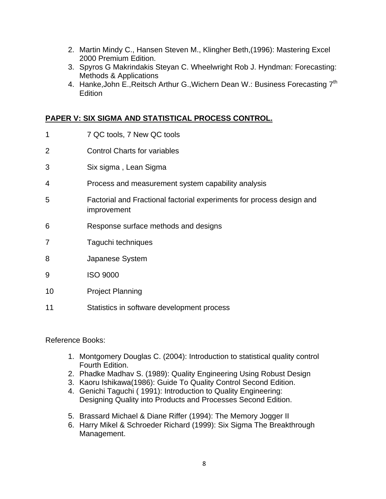- 2. Martin Mindy C., Hansen Steven M., Klingher Beth,(1996): Mastering Excel 2000 Premium Edition.
- 3. Spyros G Makrindakis Steyan C. Wheelwright Rob J. Hyndman: Forecasting: Methods & Applications
- 4. Hanke, John E., Reitsch Arthur G., Wichern Dean W.: Business Forecasting 7<sup>th</sup> **Edition**

## **PAPER V: SIX SIGMA AND STATISTICAL PROCESS CONTROL.**

- 1 7 QC tools, 7 New QC tools 2 Control Charts for variables 3 Six sigma , Lean Sigma 4 Process and measurement system capability analysis 5 Factorial and Fractional factorial experiments for process design and improvement 6 Response surface methods and designs 7 Taguchi techniques 8 Japanese System 9 ISO 9000 10 Project Planning
- 11 Statistics in software development process

Reference Books:

- 1. Montgomery Douglas C. (2004): Introduction to statistical quality control Fourth Edition.
- 2. Phadke Madhav S. (1989): Quality Engineering Using Robust Design
- 3. Kaoru Ishikawa(1986): Guide To Quality Control Second Edition.
- 4. Genichi Taguchi ( 1991): Introduction to Quality Engineering: Designing Quality into Products and Processes Second Edition.
- 5. Brassard Michael & Diane Riffer (1994): The Memory Jogger II
- 6. Harry Mikel & Schroeder Richard (1999): Six Sigma The Breakthrough Management.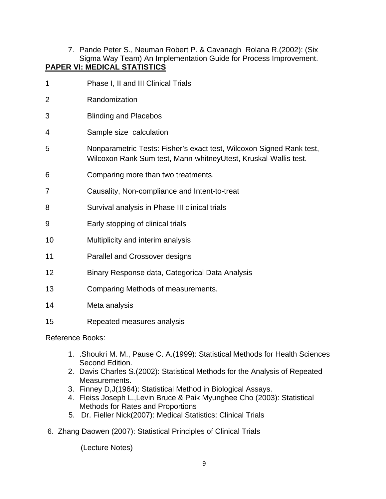7. Pande Peter S., Neuman Robert P. & Cavanagh Rolana R.(2002): (Six Sigma Way Team) An Implementation Guide for Process Improvement. **PAPER VI: MEDICAL STATISTICS**

1 Phase I, II and III Clinical Trials 2 Randomization 3 Blinding and Placebos 4 Sample size calculation 5 Nonparametric Tests: Fisher's exact test, Wilcoxon Signed Rank test, Wilcoxon Rank Sum test, Mann-whitneyUtest, Kruskal-Wallis test. 6 Comparing more than two treatments. 7 Causality, Non-compliance and Intent-to-treat 8 Survival analysis in Phase III clinical trials 9 Early stopping of clinical trials 10 Multiplicity and interim analysis 11 Parallel and Crossover designs 12 Binary Response data, Categorical Data Analysis 13 Comparing Methods of measurements. 14 Meta analysis

15 Repeated measures analysis

Reference Books:

- 1. .Shoukri M. M., Pause C. A.(1999): Statistical Methods for Health Sciences Second Edition.
- 2. Davis Charles S.(2002): Statistical Methods for the Analysis of Repeated Measurements.
- 3. Finney D,J(1964): Statistical Method in Biological Assays.
- 4. Fleiss Joseph L.,Levin Bruce & Paik Myunghee Cho (2003): Statistical Methods for Rates and Proportions
- 5. Dr. Fieller Nick(2007): Medical Statistics: Clinical Trials
- 6. Zhang Daowen (2007): Statistical Principles of Clinical Trials

(Lecture Notes)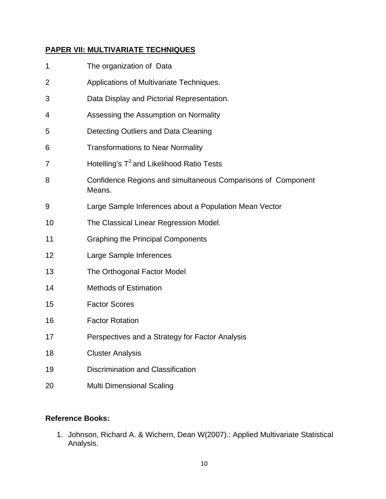# **PAPER VII: MULTIVARIATE TECHNIQUES**

| 1              | The organization of Data                                               |
|----------------|------------------------------------------------------------------------|
| $\overline{2}$ | Applications of Multivariate Techniques.                               |
| 3              | Data Display and Pictorial Representation.                             |
| 4              | Assessing the Assumption on Normality                                  |
| 5              | Detecting Outliers and Data Cleaning                                   |
| 6              | <b>Transformations to Near Normality</b>                               |
| 7              | Hotelling's T <sup>2</sup> and Likelihood Ratio Tests                  |
| 8              | Confidence Regions and simultaneous Comparisons of Component<br>Means. |
| 9              | Large Sample Inferences about a Population Mean Vector                 |
| 10             | The Classical Linear Regression Model.                                 |
| 11             | <b>Graphing the Principal Components</b>                               |
| 12             | Large Sample Inferences                                                |
| 13             | The Orthogonal Factor Model                                            |
| 14             | <b>Methods of Estimation</b>                                           |
| 15             | <b>Factor Scores</b>                                                   |
| 16             | <b>Factor Rotation</b>                                                 |
| 17             | Perspectives and a Strategy for Factor Analysis                        |
| 18             | <b>Cluster Analysis</b>                                                |
| 19             | Discrimination and Classification                                      |
| 20             | <b>Multi Dimensional Scaling</b>                                       |

## **Reference Books:**

1. Johnson, Richard A. & Wichern, Dean W(2007).: Applied Multivariate Statistical Analysis.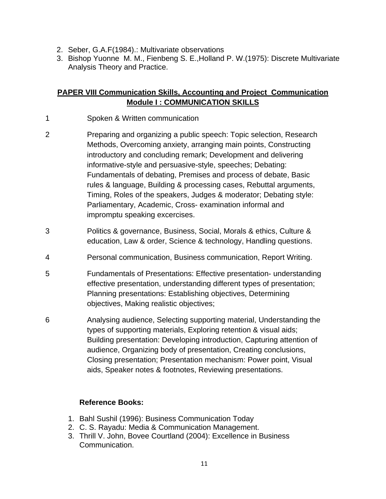- 2. Seber, G.A.F(1984).: Multivariate observations
- 3. Bishop Yuonne M. M., Fienbeng S. E.,Holland P. W.(1975): Discrete Multivariate Analysis Theory and Practice.

## **PAPER VIII Communication Skills, Accounting and Project Communication Module I : COMMUNICATION SKILLS**

- 1 Spoken & Written communication
- 2 Preparing and organizing a public speech: Topic selection, Research Methods, Overcoming anxiety, arranging main points, Constructing introductory and concluding remark; Development and delivering informative-style and persuasive-style, speeches; Debating: Fundamentals of debating, Premises and process of debate, Basic rules & language, Building & processing cases, Rebuttal arguments, Timing, Roles of the speakers, Judges & moderator; Debating style: Parliamentary, Academic, Cross- examination informal and impromptu speaking excercises.
- 3 Politics & governance, Business, Social, Morals & ethics, Culture & education, Law & order, Science & technology, Handling questions.
- 4 Personal communication, Business communication, Report Writing.
- 5 Fundamentals of Presentations: Effective presentation- understanding effective presentation, understanding different types of presentation; Planning presentations: Establishing objectives, Determining objectives, Making realistic objectives;
- 6 Analysing audience, Selecting supporting material, Understanding the types of supporting materials, Exploring retention & visual aids; Building presentation: Developing introduction, Capturing attention of audience, Organizing body of presentation, Creating conclusions, Closing presentation; Presentation mechanism: Power point, Visual aids, Speaker notes & footnotes, Reviewing presentations.

# **Reference Books:**

- 1. Bahl Sushil (1996): Business Communication Today
- 2. C. S. Rayadu: Media & Communication Management.
- 3. Thrill V. John, Bovee Courtland (2004): Excellence in Business Communication.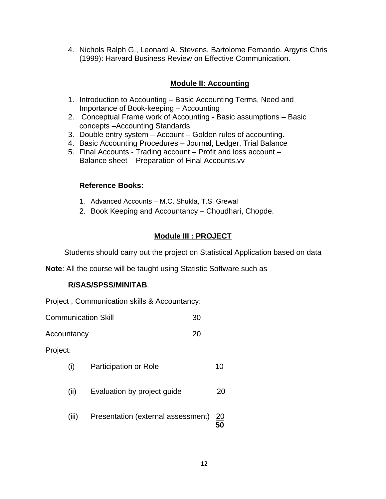4. Nichols Ralph G., Leonard A. Stevens, Bartolome Fernando, Argyris Chris (1999): Harvard Business Review on Effective Communication.

### **Module II: Accounting**

- 1. Introduction to Accounting Basic Accounting Terms, Need and Importance of Book-keeping – Accounting
- 2. Conceptual Frame work of Accounting Basic assumptions Basic concepts –Accounting Standards
- 3. Double entry system Account Golden rules of accounting.
- 4. Basic Accounting Procedures Journal, Ledger, Trial Balance
- 5. Final Accounts Trading account Profit and loss account Balance sheet – Preparation of Final Accounts.vv

### **Reference Books:**

- 1. Advanced Accounts M.C. Shukla, T.S. Grewal
- 2. Book Keeping and Accountancy Choudhari, Chopde.

## **Module III : PROJECT**

Students should carry out the project on Statistical Application based on data

**Note**: All the course will be taught using Statistic Software such as

#### **R/SAS/SPSS/MINITAB**.

Project , Communication skills & Accountancy:

| <b>Communication Skill</b><br>30 |       |                                    |  |            |  |
|----------------------------------|-------|------------------------------------|--|------------|--|
| 20<br>Accountancy                |       |                                    |  |            |  |
| Project:                         |       |                                    |  |            |  |
|                                  | (i)   | Participation or Role              |  | 10         |  |
|                                  | (ii)  | Evaluation by project guide        |  | 20         |  |
|                                  | (iii) | Presentation (external assessment) |  | <u> 20</u> |  |